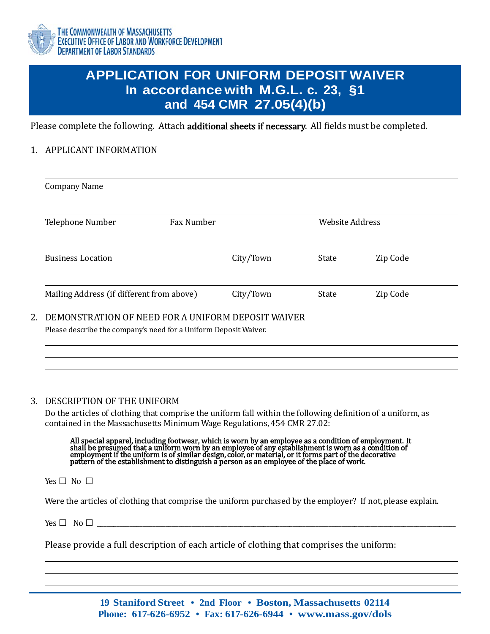

## **APPLICATION FOR UNIFORM DEPOSIT WAIVER In accordance with M.G.L. c. 23, §1 and 454 CMR 27.05(4)(b)**

Please complete the following. Attach additional sheets if necessary. All fields must be completed.

### 1. APPLICANT INFORMATION

| <b>Company Name</b>                                                                                                       |                   |           |       |                        |  |
|---------------------------------------------------------------------------------------------------------------------------|-------------------|-----------|-------|------------------------|--|
| Telephone Number                                                                                                          | <b>Fax Number</b> |           |       | <b>Website Address</b> |  |
| <b>Business Location</b>                                                                                                  |                   | City/Town | State | Zip Code               |  |
| Mailing Address (if different from above)                                                                                 |                   | City/Town | State | Zip Code               |  |
| 2. DEMONSTRATION OF NEED FOR A UNIFORM DEPOSIT WAIVER<br>Please describe the company's need for a Uniform Deposit Waiver. |                   |           |       |                        |  |

### 3. DESCRIPTION OF THE UNIFORM

Do the articles of clothing that comprise the uniform fall within the following definition of a uniform, as contained in the Massachusetts Minimum Wage Regulations, 454 CMR 27.02:

All special apparel, including footwear, which is worn by an employee as a condition of employment. It shall be presumed that a uniform worn by an employee of any establishment is worn as a condition of employment if the uniform is of similar design, color, or material, or it forms part of the decorative pattern of the establishment to distinguish a person as an employee of the place of work.

Yes  $\Box$  No  $\Box$ 

Were the articles of clothing that comprise the uniform purchased by the employer? If not, please explain.

 $Yes \Box \t No \Box$ 

Please provide a full description of each article of clothing that comprises the uniform:

**19 Staniford Street • 2nd Floor • Boston, Massachusetts 02114 Phone: 617-626-6952 • Fax: 617-626-6944 • [www.mass.gov/dols](http://www.mass.gov/dols)**